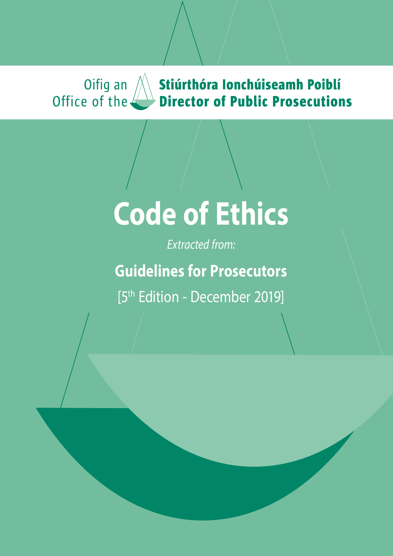### Oifig an  $/$ **Stiúrthóra Ionchúiseamh Poiblí<br>Director of Public Prosecutions** Office of the

# **Code of Ethics**

*Extracted from:*

**Guidelines for Prosecutors**

[5<sup>th</sup> Edition - December 2019]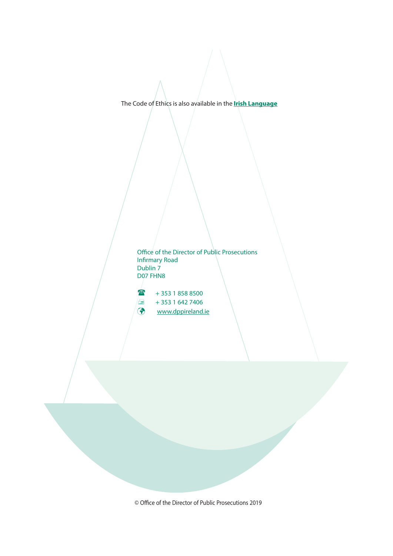[The Code of Ethics is also available in the](https://www.dppireland.ie/ga/publication-category/guidelines-for-prosecutors) **Irish Language**

Office of the Director of Public Prosecutions Infirmary Road Dublin 7 D07 FHN8

 $+ 353 1858 8500$  $\frac{1}{2}$  + 353 1 642 7406 [www.dppireland.ie](http://www.dppireland.ie)

© Office of the Director of Public Prosecutions 2019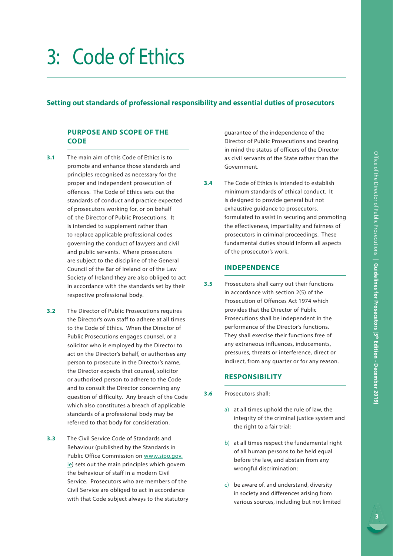## 3: Code of Ethics

#### **Setting out standards of professional responsibility and essential duties of prosecutors**

#### **PURPOSE AND SCOPE OF THE CODE**

- **3.1** The main aim of this Code of Ethics is to promote and enhance those standards and principles recognised as necessary for the proper and independent prosecution of offences. The Code of Ethics sets out the standards of conduct and practice expected of prosecutors working for, or on behalf of, the Director of Public Prosecutions. It is intended to supplement rather than to replace applicable professional codes governing the conduct of lawyers and civil and public servants. Where prosecutors are subject to the discipline of the General Council of the Bar of Ireland or of the Law Society of Ireland they are also obliged to act in accordance with the standards set by their respective professional body.
- **3.2** The Director of Public Prosecutions requires the Director's own staff to adhere at all times to the Code of Ethics. When the Director of Public Prosecutions engages counsel, or a solicitor who is employed by the Director to act on the Director's behalf, or authorises any person to prosecute in the Director's name, the Director expects that counsel, solicitor or authorised person to adhere to the Code and to consult the Director concerning any question of difficulty. Any breach of the Code which also constitutes a breach of applicable standards of a professional body may be referred to that body for consideration.
- **3.3** The Civil Service Code of Standards and Behaviour (published by the Standards in Public Office Commission on [www.sipo.gov.](http://www.sipo.gov.ie) [ie\)](http://www.sipo.gov.ie) sets out the main principles which govern the behaviour of staff in a modern Civil Service. Prosecutors who are members of the Civil Service are obliged to act in accordance with that Code subject always to the statutory

guarantee of the independence of the Director of Public Prosecutions and bearing in mind the status of officers of the Director as civil servants of the State rather than the Government.

**3.4** The Code of Ethics is intended to establish minimum standards of ethical conduct. It is designed to provide general but not exhaustive guidance to prosecutors, formulated to assist in securing and promoting the effectiveness, impartiality and fairness of prosecutors in criminal proceedings. These fundamental duties should inform all aspects of the prosecutor's work.

#### **INDEPENDENCE**

**3.5** Prosecutors shall carry out their functions in accordance with section 2(5) of the Prosecution of Offences Act 1974 which provides that the Director of Public Prosecutions shall be independent in the performance of the Director's functions. They shall exercise their functions free of any extraneous influences, inducements, pressures, threats or interference, direct or indirect, from any quarter or for any reason.

#### **RESPONSIBILITY**

- **3.6** Prosecutors shall:
	- a) at all times uphold the rule of law, the integrity of the criminal justice system and the right to a fair trial;
	- b) at all times respect the fundamental right of all human persons to be held equal before the law, and abstain from any wrongful discrimination;
	- c) be aware of, and understand, diversity in society and differences arising from various sources, including but not limited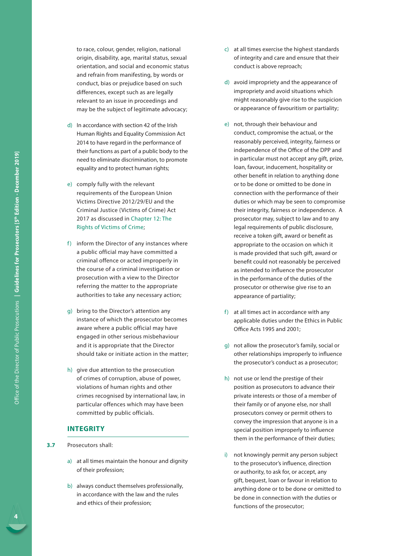to race, colour, gender, religion, national origin, disability, age, marital status, sexual orientation, and social and economic status and refrain from manifesting, by words or conduct, bias or prejudice based on such differences, except such as are legally relevant to an issue in proceedings and may be the subject of legitimate advocacy;

- d) In accordance with section 42 of the Irish Human Rights and Equality Commission Act 2014 to have regard in the performance of their functions as part of a public body to the need to eliminate discrimination, to promote equality and to protect human rights;
- e) comply fully with the relevant requirements of the European Union Victims Directive 2012/29/EU and the Criminal Justice (Victims of Crime) Act 2017 as discussed in Chapter 12: The Rights of Victims of Crime;
- f) inform the Director of any instances where a public official may have committed a criminal offence or acted improperly in the course of a criminal investigation or prosecution with a view to the Director referring the matter to the appropriate authorities to take any necessary action;
- g) bring to the Director's attention any instance of which the prosecutor becomes aware where a public official may have engaged in other serious misbehaviour and it is appropriate that the Director should take or initiate action in the matter;
- h) give due attention to the prosecution of crimes of corruption, abuse of power, violations of human rights and other crimes recognised by international law, in particular offences which may have been committed by public officials.

#### **INTEGRITY**

- **3.7** Prosecutors shall:
	- a) at all times maintain the honour and dignity of their profession;
	- b) always conduct themselves professionally, in accordance with the law and the rules and ethics of their profession;
- c) at all times exercise the highest standards of integrity and care and ensure that their conduct is above reproach;
- d) avoid impropriety and the appearance of impropriety and avoid situations which might reasonably give rise to the suspicion or appearance of favouritism or partiality;
- e) not, through their behaviour and conduct, compromise the actual, or the reasonably perceived, integrity, fairness or independence of the Office of the DPP and in particular must not accept any gift, prize, loan, favour, inducement, hospitality or other benefit in relation to anything done or to be done or omitted to be done in connection with the performance of their duties or which may be seen to compromise their integrity, fairness or independence. A prosecutor may, subject to law and to any legal requirements of public disclosure, receive a token gift, award or benefit as appropriate to the occasion on which it is made provided that such gift, award or benefit could not reasonably be perceived as intended to influence the prosecutor in the performance of the duties of the prosecutor or otherwise give rise to an appearance of partiality;
- $f$  at all times act in accordance with any applicable duties under the Ethics in Public Office Acts 1995 and 2001;
- g) not allow the prosecutor's family, social or other relationships improperly to influence the prosecutor's conduct as a prosecutor;
- h) not use or lend the prestige of their position as prosecutors to advance their private interests or those of a member of their family or of anyone else, nor shall prosecutors convey or permit others to convey the impression that anyone is in a special position improperly to influence them in the performance of their duties;
- i) not knowingly permit any person subject to the prosecutor's influence, direction or authority, to ask for, or accept, any gift, bequest, loan or favour in relation to anything done or to be done or omitted to be done in connection with the duties or functions of the prosecutor;